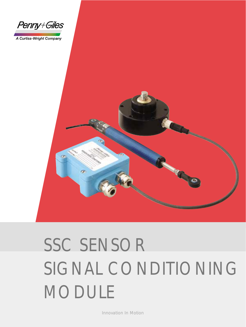

A Curtiss-Wright Company



# SSC SENSOR SIGNAL CONDITIONING MODULE

Innovation In Motion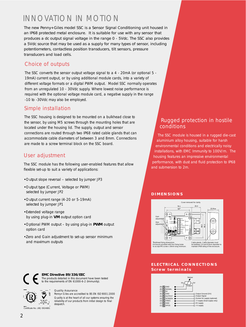### INNOVATION IN MOTION

The new Penny+Giles model SSC is a Sensor Signal Conditioning unit housed in an IP68 protected metal enclosure. It is suitable for use with any sensor that produces a dc output signal voltage in the range 0 - 5Vdc. The SSC also provides a 5Vdc source that may be used as a supply for many types of sensor, including potentiometers, contactless position transducers, tilt sensors, pressure transducers and load cells.

#### *Choice of outputs*

The SSC converts the sensor output voltage signal to a 4 - 20mA (or optional 5 - 19mA) current output, or by using additional module cards, into a variety of different voltage formats or a digital PWM output. Model SSC normally operates from an unregulated 10 - 30Vdc supply. Where lowest noise performance is required with the optional voltage module card, a negative supply in the range -10 to -30Vdc may also be employed.

#### *Simple installation*

The SSC housing is designed to be mounted on a bulkhead close to the sensor, by using M5 screws through the mounting holes that are located under the housing lid. The supply, output and sensor connections are routed through two IP68 rated cable glands that can accommodate cable diameters of between 3 and 8mm. Connections are made to a screw terminal block on the SSC board.

#### *User adjustment*

The SSC module has the following user-enabled features that allow flexible set-up to suit a variety of applications:

- •Output slope reversal selected by jumper JP3
- •Output type (Current, Voltage or PWM) selected by jumper JP2
- •Output current range (4-20 or 5-19mA) selected by jumper JP1
- •Extended voltage range by using plug-in **VM** output option card
- •Optional PWM output by using plug-in **PWM** output option card
- •Zero and Gain adjustment to set-up sensor minimum and maximum outputs

#### *Rugged protection in hostile conditions*

The SSC module is housed in a rugged die-cast aluminium alloy housing, suitable for harsh environmental conditions and electrically noisy installations, with EMC Immunity to 100V/m. The housing features an impressive environmental performance, with dust and fluid protection to IP68 and submersion to 2m.

#### **DIMENSIONS**



#### **ELECTRICAL CONNECTIONS Screw terminals**





The products detailed in this document have been tested to the requirements of EN 61000-6-2 (Immunity).

#### *Quality Assurance*

Penny+Giles are accredited to BS EN ISO9001:2000 Quality is at the heart of all our systems ensuring the reliability of our products from initial design to final despatch

```
Certificate No. LRQ 0924881
```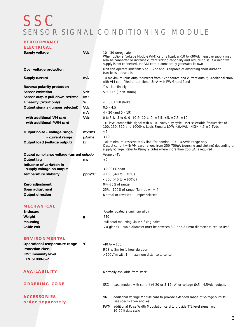## SSC SENSOR SIGNAL CONDITIONING MODULE

| PERFORMANCE                                           |              |                                                                                                                                                                                                                                                                                  |
|-------------------------------------------------------|--------------|----------------------------------------------------------------------------------------------------------------------------------------------------------------------------------------------------------------------------------------------------------------------------------|
| ELECTRICAL                                            |              |                                                                                                                                                                                                                                                                                  |
| Supply voltage                                        | <b>Vdc</b>   | 10 - 30 unregulated<br>When optional Voltage Module (VM) card is fitted, a -10 to -30Vdc negative supply may<br>also be connected to increase current sinking capability and reduce noise. If a negative<br>supply is not connected, the VM card automatically generates its own |
| Over voltage protection                               |              | Unit can operate indefinitely at 33Vdc and is capable of absorbing short duration<br>transients above this                                                                                                                                                                       |
| Supply current                                        | mA           | 10 maximum (plus output currents from 5Vdc source and current output). Additional 9mA<br>with VM card fitted or additional 3mA with PWM card fitted                                                                                                                              |
| Reverse polarity protection                           |              | Yes - indefinitely                                                                                                                                                                                                                                                               |
| Sensor excitation                                     | <b>Vdc</b>   | $5 \pm 0.15$ (up to 30mA)                                                                                                                                                                                                                                                        |
| Sensor output pull down resistor                      | $M\Omega$    | 1                                                                                                                                                                                                                                                                                |
| Linearity (circuit only)                              | %            | $\leq \pm 0.01$ full stroke                                                                                                                                                                                                                                                      |
| Output signals (jumper selected)                      | Vdc          | $0.5 - 4.5$                                                                                                                                                                                                                                                                      |
|                                                       | mA           | $4 - 20$ (and $5 - 19$ )                                                                                                                                                                                                                                                         |
| with additional VM card                               | Vdc          | 0 to 5 & -5 to 0, 0 -10 & -10 to 0, $\pm 2.5$ , $\pm 5$ , $\pm 7.5$ , $\pm 10$                                                                                                                                                                                                   |
| with additional PWM card                              |              | TTL level compatible signal with a 10 - 90% duty cycle. User selectable frequencies of<br>100, 130, 310 and 1000Hz. Logic Signals: LOW < 0.4Vdc HIGH 4.5 ± 0.5Vdc                                                                                                                |
| Output noise - voltage range                          | mVrms        | < 5                                                                                                                                                                                                                                                                              |
| - current range                                       | <b>µArms</b> | < 10                                                                                                                                                                                                                                                                             |
| Output load (voltage output)                          | Ω            | 10k minimum (resistive to 0V line) for nominal 0.5 – 4.5Vdc range only<br>Output current with VM card ranges from 250-750µA (sourcing and sinking) depending on<br>supply voltage. Refer to Penny & Giles where more than 250 µA is required                                     |
| Output compliance voltage (current output)            |              | Vsupply -4V                                                                                                                                                                                                                                                                      |
| Output lag                                            | ms           | $\lt 2$                                                                                                                                                                                                                                                                          |
| Influence of variation in<br>supply voltage on output |              | $< 0.001\%$ span                                                                                                                                                                                                                                                                 |
| <b>Temperature stability</b>                          | ppm/°C       | <100 (-40 to +70°C)                                                                                                                                                                                                                                                              |
|                                                       |              | $<$ 300 (-40 to +100°C)                                                                                                                                                                                                                                                          |
| Zero adjustment                                       |              | 0% -75% of range                                                                                                                                                                                                                                                                 |
| Span adjustment                                       |              | 25% - 100% of range (Turn down = 4)                                                                                                                                                                                                                                              |
| <b>Output direction</b>                               |              | Normal or reversed - jumper selected                                                                                                                                                                                                                                             |
| MECHANICAL                                            |              |                                                                                                                                                                                                                                                                                  |
| <b>Enclosure</b>                                      |              | Powder coated aluminium alloy                                                                                                                                                                                                                                                    |
| Weight                                                | g            | 250                                                                                                                                                                                                                                                                              |
| Mounting                                              |              | Bulkhead mounting via M5 fixing holes                                                                                                                                                                                                                                            |
| Cable exit                                            |              | Via glands - cable diameter must be between 3.0 and 8.0mm diameter to seal to IP68                                                                                                                                                                                               |
| <b>ENVIRONMENTAL</b>                                  |              |                                                                                                                                                                                                                                                                                  |
| Operational temperature range                         | °C           | $-40$ to $+100$                                                                                                                                                                                                                                                                  |
| <b>Protection class</b>                               |              | IP68 to 2m for 1 hour duration                                                                                                                                                                                                                                                   |
| <b>EMC immunity level</b><br>EN 61000-6-2             |              | >100V/m with 1m maximum distance to sensor                                                                                                                                                                                                                                       |
|                                                       |              |                                                                                                                                                                                                                                                                                  |
| <b>AVAILABILITY</b>                                   |              | Normally available from stock                                                                                                                                                                                                                                                    |
| <b>ORDERING CODE</b>                                  |              | base module with current (4-20 or 5-19mA) or voltage (0.5 - 4.5Vdc) outputs<br><b>SSC</b>                                                                                                                                                                                        |
| <b>ACCESSORIES</b>                                    |              | additional Voltage Module card to provide extended range of voltage outputs<br>VM                                                                                                                                                                                                |
| order separately                                      |              | (see specification above)                                                                                                                                                                                                                                                        |

PWM additional Pulse Width Modulation card to provide TTL level signal with 10-90% duty cycle